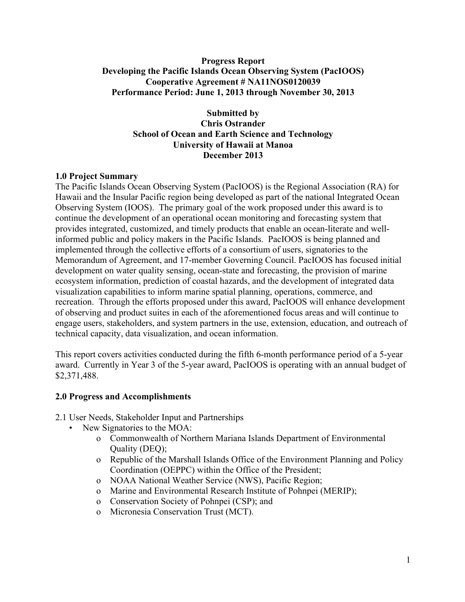#### **Progress Report Developing the Pacific Islands Ocean Observing System (PacIOOS) Cooperative Agreement # NA11NOS0120039 Performance Period: June 1, 2013 through November 30, 2013**

#### **Submitted by Chris Ostrander School of Ocean and Earth Science and Technology University of Hawaii at Manoa December 2013**

#### **1.0 Project Summary**

The Pacific Islands Ocean Observing System (PacIOOS) is the Regional Association (RA) for Hawaii and the Insular Pacific region being developed as part of the national Integrated Ocean Observing System (IOOS). The primary goal of the work proposed under this award is to continue the development of an operational ocean monitoring and forecasting system that provides integrated, customized, and timely products that enable an ocean-literate and wellinformed public and policy makers in the Pacific Islands. PacIOOS is being planned and implemented through the collective efforts of a consortium of users, signatories to the Memorandum of Agreement, and 17-member Governing Council. PacIOOS has focused initial development on water quality sensing, ocean-state and forecasting, the provision of marine ecosystem information, prediction of coastal hazards, and the development of integrated data visualization capabilities to inform marine spatial planning, operations, commerce, and recreation. Through the efforts proposed under this award, PacIOOS will enhance development of observing and product suites in each of the aforementioned focus areas and will continue to engage users, stakeholders, and system partners in the use, extension, education, and outreach of technical capacity, data visualization, and ocean information.

This report covers activities conducted during the fifth 6-month performance period of a 5-year award. Currently in Year 3 of the 5-year award, PacIOOS is operating with an annual budget of \$2,371,488.

#### **2.0 Progress and Accomplishments**

- 2.1 User Needs, Stakeholder Input and Partnerships
	- New Signatories to the MOA:
		- o Commonwealth of Northern Mariana Islands Department of Environmental Quality (DEQ);
		- o Republic of the Marshall Islands Office of the Environment Planning and Policy Coordination (OEPPC) within the Office of the President;
		- o NOAA National Weather Service (NWS), Pacific Region;
		- o Marine and Environmental Research Institute of Pohnpei (MERIP);
		- o Conservation Society of Pohnpei (CSP); and
		- o Micronesia Conservation Trust (MCT).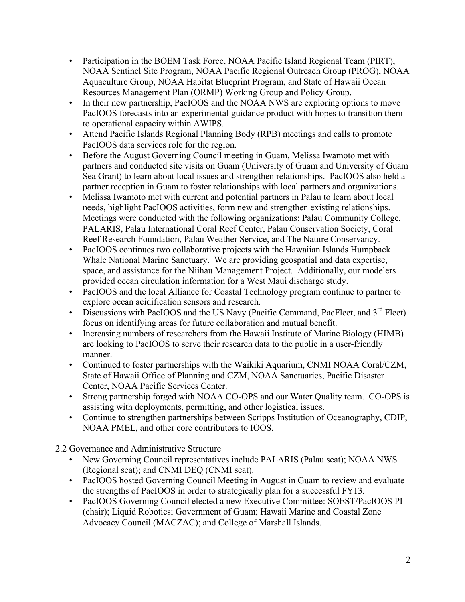- Participation in the BOEM Task Force, NOAA Pacific Island Regional Team (PIRT), NOAA Sentinel Site Program, NOAA Pacific Regional Outreach Group (PROG), NOAA Aquaculture Group, NOAA Habitat Blueprint Program, and State of Hawaii Ocean Resources Management Plan (ORMP) Working Group and Policy Group.
- In their new partnership, PacIOOS and the NOAA NWS are exploring options to move PacIOOS forecasts into an experimental guidance product with hopes to transition them to operational capacity within AWIPS.
- Attend Pacific Islands Regional Planning Body (RPB) meetings and calls to promote PacIOOS data services role for the region.
- Before the August Governing Council meeting in Guam, Melissa Iwamoto met with partners and conducted site visits on Guam (University of Guam and University of Guam Sea Grant) to learn about local issues and strengthen relationships. PacIOOS also held a partner reception in Guam to foster relationships with local partners and organizations.
- Melissa Iwamoto met with current and potential partners in Palau to learn about local needs, highlight PacIOOS activities, form new and strengthen existing relationships. Meetings were conducted with the following organizations: Palau Community College, PALARIS, Palau International Coral Reef Center, Palau Conservation Society, Coral Reef Research Foundation, Palau Weather Service, and The Nature Conservancy.
- PacIOOS continues two collaborative projects with the Hawaiian Islands Humpback Whale National Marine Sanctuary. We are providing geospatial and data expertise, space, and assistance for the Niihau Management Project. Additionally, our modelers provided ocean circulation information for a West Maui discharge study.
- PacIOOS and the local Alliance for Coastal Technology program continue to partner to explore ocean acidification sensors and research.
- Discussions with PacIOOS and the US Navy (Pacific Command, PacFleet, and  $3<sup>rd</sup>$  Fleet) focus on identifying areas for future collaboration and mutual benefit.
- Increasing numbers of researchers from the Hawaii Institute of Marine Biology (HIMB) are looking to PacIOOS to serve their research data to the public in a user-friendly manner.
- Continued to foster partnerships with the Waikiki Aquarium, CNMI NOAA Coral/CZM, State of Hawaii Office of Planning and CZM, NOAA Sanctuaries, Pacific Disaster Center, NOAA Pacific Services Center.
- Strong partnership forged with NOAA CO-OPS and our Water Quality team. CO-OPS is assisting with deployments, permitting, and other logistical issues.
- Continue to strengthen partnerships between Scripps Institution of Oceanography, CDIP, NOAA PMEL, and other core contributors to IOOS.

2.2 Governance and Administrative Structure

- New Governing Council representatives include PALARIS (Palau seat); NOAA NWS (Regional seat); and CNMI DEQ (CNMI seat).
- PacIOOS hosted Governing Council Meeting in August in Guam to review and evaluate the strengths of PacIOOS in order to strategically plan for a successful FY13.
- PacIOOS Governing Council elected a new Executive Committee: SOEST/PacIOOS PI (chair); Liquid Robotics; Government of Guam; Hawaii Marine and Coastal Zone Advocacy Council (MACZAC); and College of Marshall Islands.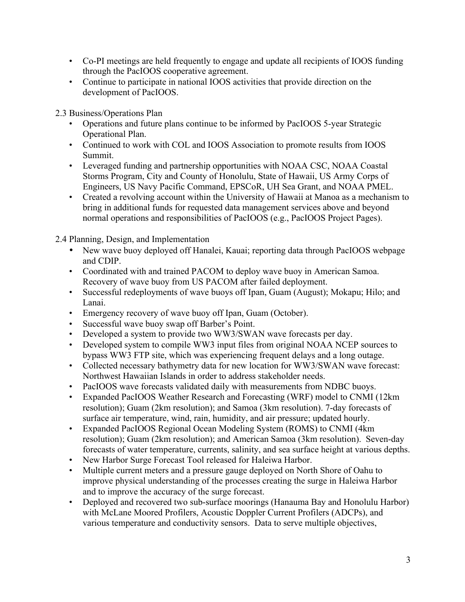- Co-PI meetings are held frequently to engage and update all recipients of IOOS funding through the PacIOOS cooperative agreement.
- Continue to participate in national IOOS activities that provide direction on the development of PacIOOS.

2.3 Business/Operations Plan

- Operations and future plans continue to be informed by PacIOOS 5-year Strategic Operational Plan.
- Continued to work with COL and IOOS Association to promote results from IOOS Summit.
- Leveraged funding and partnership opportunities with NOAA CSC, NOAA Coastal Storms Program, City and County of Honolulu, State of Hawaii, US Army Corps of Engineers, US Navy Pacific Command, EPSCoR, UH Sea Grant, and NOAA PMEL.
- Created a revolving account within the University of Hawaii at Manoa as a mechanism to bring in additional funds for requested data management services above and beyond normal operations and responsibilities of PacIOOS (e.g., PacIOOS Project Pages).

2.4 Planning, Design, and Implementation

- New wave buoy deployed off Hanalei, Kauai; reporting data through PacIOOS webpage and CDIP.
- Coordinated with and trained PACOM to deploy wave buoy in American Samoa. Recovery of wave buoy from US PACOM after failed deployment.
- Successful redeployments of wave buoys off Ipan, Guam (August); Mokapu; Hilo; and Lanai.
- Emergency recovery of wave buoy off Ipan, Guam (October).
- Successful wave buoy swap off Barber's Point.
- Developed a system to provide two WW3/SWAN wave forecasts per day.
- Developed system to compile WW3 input files from original NOAA NCEP sources to bypass WW3 FTP site, which was experiencing frequent delays and a long outage.
- Collected necessary bathymetry data for new location for WW3/SWAN wave forecast: Northwest Hawaiian Islands in order to address stakeholder needs.
- PacIOOS wave forecasts validated daily with measurements from NDBC buoys.
- Expanded PacIOOS Weather Research and Forecasting (WRF) model to CNMI (12km resolution); Guam (2km resolution); and Samoa (3km resolution). 7-day forecasts of surface air temperature, wind, rain, humidity, and air pressure; updated hourly.
- Expanded PacIOOS Regional Ocean Modeling System (ROMS) to CNMI (4km resolution); Guam (2km resolution); and American Samoa (3km resolution). Seven-day forecasts of water temperature, currents, salinity, and sea surface height at various depths.
- New Harbor Surge Forecast Tool released for Haleiwa Harbor.
- Multiple current meters and a pressure gauge deployed on North Shore of Oahu to improve physical understanding of the processes creating the surge in Haleiwa Harbor and to improve the accuracy of the surge forecast.
- Deployed and recovered two sub-surface moorings (Hanauma Bay and Honolulu Harbor) with McLane Moored Profilers, Acoustic Doppler Current Profilers (ADCPs), and various temperature and conductivity sensors. Data to serve multiple objectives,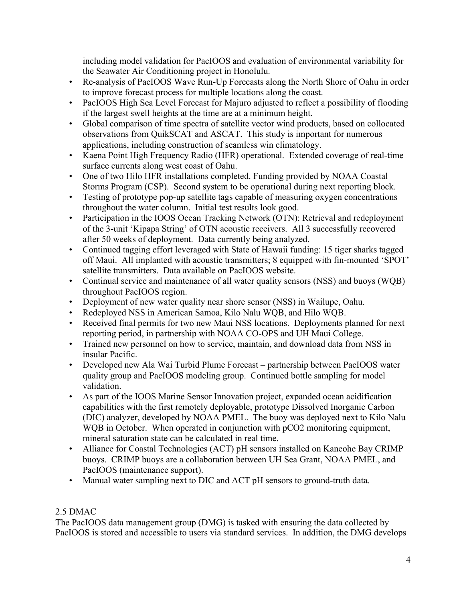including model validation for PacIOOS and evaluation of environmental variability for the Seawater Air Conditioning project in Honolulu.

- Re-analysis of PacIOOS Wave Run-Up Forecasts along the North Shore of Oahu in order to improve forecast process for multiple locations along the coast.
- PacIOOS High Sea Level Forecast for Majuro adjusted to reflect a possibility of flooding if the largest swell heights at the time are at a minimum height.
- Global comparison of time spectra of satellite vector wind products, based on collocated observations from QuikSCAT and ASCAT. This study is important for numerous applications, including construction of seamless win climatology.
- Kaena Point High Frequency Radio (HFR) operational. Extended coverage of real-time surface currents along west coast of Oahu.
- One of two Hilo HFR installations completed. Funding provided by NOAA Coastal Storms Program (CSP). Second system to be operational during next reporting block.
- Testing of prototype pop-up satellite tags capable of measuring oxygen concentrations throughout the water column. Initial test results look good.
- Participation in the IOOS Ocean Tracking Network (OTN): Retrieval and redeployment of the 3-unit 'Kipapa String' of OTN acoustic receivers. All 3 successfully recovered after 50 weeks of deployment. Data currently being analyzed.
- Continued tagging effort leveraged with State of Hawaii funding: 15 tiger sharks tagged off Maui. All implanted with acoustic transmitters; 8 equipped with fin-mounted 'SPOT' satellite transmitters. Data available on PacIOOS website.
- Continual service and maintenance of all water quality sensors (NSS) and buoys (WQB) throughout PacIOOS region.
- Deployment of new water quality near shore sensor (NSS) in Wailupe, Oahu.
- Redeployed NSS in American Samoa, Kilo Nalu WQB, and Hilo WQB.
- Received final permits for two new Maui NSS locations. Deployments planned for next reporting period, in partnership with NOAA CO-OPS and UH Maui College.
- Trained new personnel on how to service, maintain, and download data from NSS in insular Pacific.
- Developed new Ala Wai Turbid Plume Forecast partnership between PacIOOS water quality group and PacIOOS modeling group. Continued bottle sampling for model validation.
- As part of the IOOS Marine Sensor Innovation project, expanded ocean acidification capabilities with the first remotely deployable, prototype Dissolved Inorganic Carbon (DIC) analyzer, developed by NOAA PMEL. The buoy was deployed next to Kilo Nalu WQB in October. When operated in conjunction with pCO2 monitoring equipment, mineral saturation state can be calculated in real time.
- Alliance for Coastal Technologies (ACT) pH sensors installed on Kaneohe Bay CRIMP buoys. CRIMP buoys are a collaboration between UH Sea Grant, NOAA PMEL, and PacIOOS (maintenance support).
- Manual water sampling next to DIC and ACT pH sensors to ground-truth data.

## 2.5 DMAC

The PacIOOS data management group (DMG) is tasked with ensuring the data collected by PacIOOS is stored and accessible to users via standard services. In addition, the DMG develops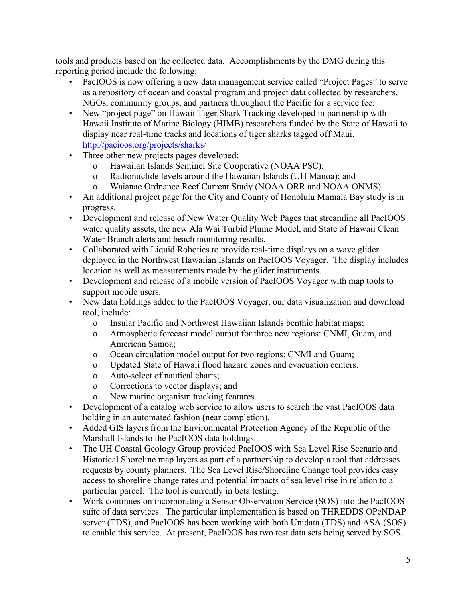tools and products based on the collected data. Accomplishments by the DMG during this reporting period include the following:

- PacIOOS is now offering a new data management service called "Project Pages" to serve as a repository of ocean and coastal program and project data collected by researchers, NGOs, community groups, and partners throughout the Pacific for a service fee.
- New "project page" on Hawaii Tiger Shark Tracking developed in partnership with Hawaii Institute of Marine Biology (HIMB) researchers funded by the State of Hawaii to display near real-time tracks and locations of tiger sharks tagged off Maui. http://pacioos.org/projects/sharks/
- Three other new projects pages developed:
	- o Hawaiian Islands Sentinel Site Cooperative (NOAA PSC);
	- o Radionuclide levels around the Hawaiian Islands (UH Manoa); and
	- o Waianae Ordnance Reef Current Study (NOAA ORR and NOAA ONMS).
- An additional project page for the City and County of Honolulu Mamala Bay study is in progress.
- Development and release of New Water Quality Web Pages that streamline all PacIOOS water quality assets, the new Ala Wai Turbid Plume Model, and State of Hawaii Clean Water Branch alerts and beach monitoring results.
- Collaborated with Liquid Robotics to provide real-time displays on a wave glider deployed in the Northwest Hawaiian Islands on PacIOOS Voyager. The display includes location as well as measurements made by the glider instruments.
- Development and release of a mobile version of PacIOOS Voyager with map tools to support mobile users.
- New data holdings added to the PacIOOS Voyager, our data visualization and download tool, include:
	- o Insular Pacific and Northwest Hawaiian Islands benthic habitat maps;
	- o Atmospheric forecast model output for three new regions: CNMI, Guam, and American Samoa;
	- o Ocean circulation model output for two regions: CNMI and Guam;
	- o Updated State of Hawaii flood hazard zones and evacuation centers.
	- o Auto-select of nautical charts;
	- o Corrections to vector displays; and
	- o New marine organism tracking features.
- Development of a catalog web service to allow users to search the vast PacIOOS data holding in an automated fashion (near completion).
- Added GIS layers from the Environmental Protection Agency of the Republic of the Marshall Islands to the PacIOOS data holdings.
- The UH Coastal Geology Group provided PacIOOS with Sea Level Rise Scenario and Historical Shoreline map layers as part of a partnership to develop a tool that addresses requests by county planners. The Sea Level Rise/Shoreline Change tool provides easy access to shoreline change rates and potential impacts of sea level rise in relation to a particular parcel. The tool is currently in beta testing.
- Work continues on incorporating a Sensor Observation Service (SOS) into the PacIOOS suite of data services. The particular implementation is based on THREDDS OPeNDAP server (TDS), and PacIOOS has been working with both Unidata (TDS) and ASA (SOS) to enable this service. At present, PacIOOS has two test data sets being served by SOS.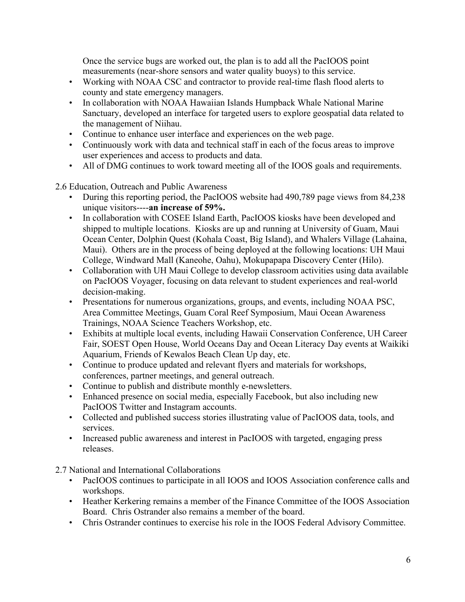Once the service bugs are worked out, the plan is to add all the PacIOOS point measurements (near-shore sensors and water quality buoys) to this service.

- Working with NOAA CSC and contractor to provide real-time flash flood alerts to county and state emergency managers.
- In collaboration with NOAA Hawaiian Islands Humpback Whale National Marine Sanctuary, developed an interface for targeted users to explore geospatial data related to the management of Niihau.
- Continue to enhance user interface and experiences on the web page.
- Continuously work with data and technical staff in each of the focus areas to improve user experiences and access to products and data.
- All of DMG continues to work toward meeting all of the IOOS goals and requirements.

2.6 Education, Outreach and Public Awareness

- During this reporting period, the PacIOOS website had 490,789 page views from 84,238 unique visitors----**an increase of 59%.**
- In collaboration with COSEE Island Earth, PacIOOS kiosks have been developed and shipped to multiple locations. Kiosks are up and running at University of Guam, Maui Ocean Center, Dolphin Quest (Kohala Coast, Big Island), and Whalers Village (Lahaina, Maui). Others are in the process of being deployed at the following locations: UH Maui College, Windward Mall (Kaneohe, Oahu), Mokupapapa Discovery Center (Hilo).
- Collaboration with UH Maui College to develop classroom activities using data available on PacIOOS Voyager, focusing on data relevant to student experiences and real-world decision-making.
- Presentations for numerous organizations, groups, and events, including NOAA PSC, Area Committee Meetings, Guam Coral Reef Symposium, Maui Ocean Awareness Trainings, NOAA Science Teachers Workshop, etc.
- Exhibits at multiple local events, including Hawaii Conservation Conference, UH Career Fair, SOEST Open House, World Oceans Day and Ocean Literacy Day events at Waikiki Aquarium, Friends of Kewalos Beach Clean Up day, etc.
- Continue to produce updated and relevant flyers and materials for workshops, conferences, partner meetings, and general outreach.
- Continue to publish and distribute monthly e-newsletters.
- Enhanced presence on social media, especially Facebook, but also including new PacIOOS Twitter and Instagram accounts.
- Collected and published success stories illustrating value of PacIOOS data, tools, and services.
- Increased public awareness and interest in PacIOOS with targeted, engaging press releases.

2.7 National and International Collaborations

- PacIOOS continues to participate in all IOOS and IOOS Association conference calls and workshops.
- Heather Kerkering remains a member of the Finance Committee of the IOOS Association Board. Chris Ostrander also remains a member of the board.
- Chris Ostrander continues to exercise his role in the IOOS Federal Advisory Committee.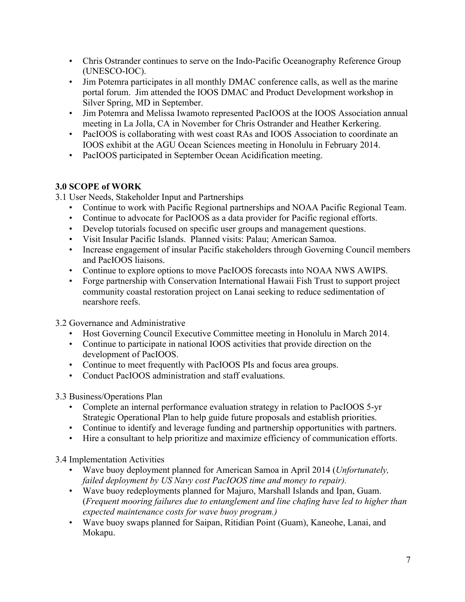- Chris Ostrander continues to serve on the Indo-Pacific Oceanography Reference Group (UNESCO-IOC).
- Jim Potemra participates in all monthly DMAC conference calls, as well as the marine portal forum. Jim attended the IOOS DMAC and Product Development workshop in Silver Spring, MD in September.
- Jim Potemra and Melissa Iwamoto represented PacIOOS at the IOOS Association annual meeting in La Jolla, CA in November for Chris Ostrander and Heather Kerkering.
- PacIOOS is collaborating with west coast RAs and IOOS Association to coordinate an IOOS exhibit at the AGU Ocean Sciences meeting in Honolulu in February 2014.
- PacIOOS participated in September Ocean Acidification meeting.

# **3.0 SCOPE of WORK**

- 3.1 User Needs, Stakeholder Input and Partnerships
	- Continue to work with Pacific Regional partnerships and NOAA Pacific Regional Team.
	- Continue to advocate for PacIOOS as a data provider for Pacific regional efforts.
	- Develop tutorials focused on specific user groups and management questions.
	- Visit Insular Pacific Islands. Planned visits: Palau; American Samoa.
	- Increase engagement of insular Pacific stakeholders through Governing Council members and PacIOOS liaisons.
	- Continue to explore options to move PacIOOS forecasts into NOAA NWS AWIPS.
	- Forge partnership with Conservation International Hawaii Fish Trust to support project community coastal restoration project on Lanai seeking to reduce sedimentation of nearshore reefs.

3.2 Governance and Administrative

- Host Governing Council Executive Committee meeting in Honolulu in March 2014.
- Continue to participate in national IOOS activities that provide direction on the development of PacIOOS.
- Continue to meet frequently with PacIOOS PIs and focus area groups.
- Conduct PacIOOS administration and staff evaluations.
- 3.3 Business/Operations Plan
	- Complete an internal performance evaluation strategy in relation to PacIOOS 5-yr Strategic Operational Plan to help guide future proposals and establish priorities.
	- Continue to identify and leverage funding and partnership opportunities with partners.
	- Hire a consultant to help prioritize and maximize efficiency of communication efforts.

## 3.4 Implementation Activities

- Wave buoy deployment planned for American Samoa in April 2014 (*Unfortunately, failed deployment by US Navy cost PacIOOS time and money to repair).*
- Wave buoy redeployments planned for Majuro, Marshall Islands and Ipan, Guam. (*Frequent mooring failures due to entanglement and line chafing have led to higher than expected maintenance costs for wave buoy program.)*
- Wave buoy swaps planned for Saipan, Ritidian Point (Guam), Kaneohe, Lanai, and Mokapu.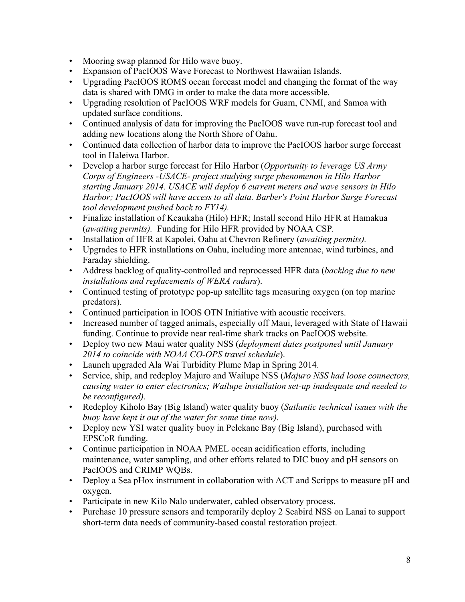- Mooring swap planned for Hilo wave buoy.
- Expansion of PacIOOS Wave Forecast to Northwest Hawaiian Islands.
- Upgrading PacIOOS ROMS ocean forecast model and changing the format of the way data is shared with DMG in order to make the data more accessible.
- Upgrading resolution of PacIOOS WRF models for Guam, CNMI, and Samoa with updated surface conditions.
- Continued analysis of data for improving the PacIOOS wave run-rup forecast tool and adding new locations along the North Shore of Oahu.
- Continued data collection of harbor data to improve the PacIOOS harbor surge forecast tool in Haleiwa Harbor.
- Develop a harbor surge forecast for Hilo Harbor (*Opportunity to leverage US Army Corps of Engineers -USACE- project studying surge phenomenon in Hilo Harbor starting January 2014. USACE will deploy 6 current meters and wave sensors in Hilo Harbor; PacIOOS will have access to all data. Barber's Point Harbor Surge Forecast tool development pushed back to FY14).*
- Finalize installation of Keaukaha (Hilo) HFR; Install second Hilo HFR at Hamakua (*awaiting permits).* Funding for Hilo HFR provided by NOAA CSP*.*
- Installation of HFR at Kapolei, Oahu at Chevron Refinery (*awaiting permits).*
- Upgrades to HFR installations on Oahu, including more antennae, wind turbines, and Faraday shielding.
- Address backlog of quality-controlled and reprocessed HFR data (*backlog due to new installations and replacements of WERA radars*).
- Continued testing of prototype pop-up satellite tags measuring oxygen (on top marine predators).
- Continued participation in IOOS OTN Initiative with acoustic receivers.
- Increased number of tagged animals, especially off Maui, leveraged with State of Hawaii funding. Continue to provide near real-time shark tracks on PacIOOS website.
- Deploy two new Maui water quality NSS (*deployment dates postponed until January 2014 to coincide with NOAA CO-OPS travel schedule*).
- Launch upgraded Ala Wai Turbidity Plume Map in Spring 2014.
- Service, ship, and redeploy Majuro and Wailupe NSS (*Majuro NSS had loose connectors, causing water to enter electronics; Wailupe installation set-up inadequate and needed to be reconfigured).*
- Redeploy Kiholo Bay (Big Island) water quality buoy (*Satlantic technical issues with the buoy have kept it out of the water for some time now).*
- Deploy new YSI water quality buoy in Pelekane Bay (Big Island), purchased with EPSCoR funding.
- Continue participation in NOAA PMEL ocean acidification efforts, including maintenance, water sampling, and other efforts related to DIC buoy and pH sensors on PacIOOS and CRIMP WQBs.
- Deploy a Sea pHox instrument in collaboration with ACT and Scripps to measure pH and oxygen.
- Participate in new Kilo Nalo underwater, cabled observatory process.
- Purchase 10 pressure sensors and temporarily deploy 2 Seabird NSS on Lanai to support short-term data needs of community-based coastal restoration project.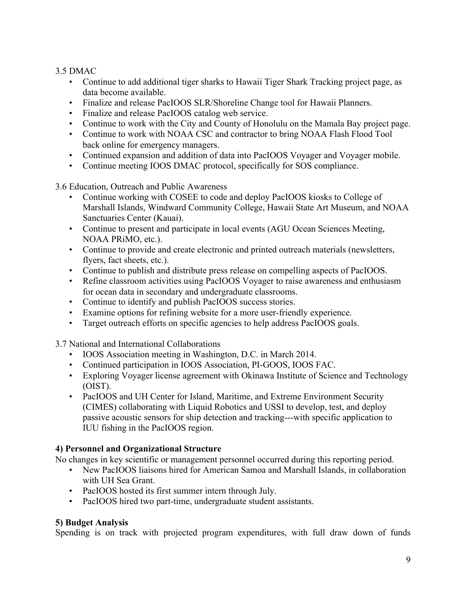# 3.5 DMAC

- Continue to add additional tiger sharks to Hawaii Tiger Shark Tracking project page, as data become available.
- Finalize and release PacIOOS SLR/Shoreline Change tool for Hawaii Planners.
- Finalize and release PacIOOS catalog web service.
- Continue to work with the City and County of Honolulu on the Mamala Bay project page.
- Continue to work with NOAA CSC and contractor to bring NOAA Flash Flood Tool back online for emergency managers.
- Continued expansion and addition of data into PacIOOS Voyager and Voyager mobile.
- Continue meeting IOOS DMAC protocol, specifically for SOS compliance.

3.6 Education, Outreach and Public Awareness

- Continue working with COSEE to code and deploy PacIOOS kiosks to College of Marshall Islands, Windward Community College, Hawaii State Art Museum, and NOAA Sanctuaries Center (Kauai).
- Continue to present and participate in local events (AGU Ocean Sciences Meeting, NOAA PRiMO, etc.).
- Continue to provide and create electronic and printed outreach materials (newsletters, flyers, fact sheets, etc.).
- Continue to publish and distribute press release on compelling aspects of PacIOOS.
- Refine classroom activities using PacIOOS Voyager to raise awareness and enthusiasm for ocean data in secondary and undergraduate classrooms.
- Continue to identify and publish PacIOOS success stories.
- Examine options for refining website for a more user-friendly experience.
- Target outreach efforts on specific agencies to help address PacIOOS goals.

3.7 National and International Collaborations

- IOOS Association meeting in Washington, D.C. in March 2014.
- Continued participation in IOOS Association, PI-GOOS, IOOS FAC.
- Exploring Voyager license agreement with Okinawa Institute of Science and Technology (OIST).
- PacIOOS and UH Center for Island, Maritime, and Extreme Environment Security (CIMES) collaborating with Liquid Robotics and USSI to develop, test, and deploy passive acoustic sensors for ship detection and tracking---with specific application to IUU fishing in the PacIOOS region.

## **4) Personnel and Organizational Structure**

No changes in key scientific or management personnel occurred during this reporting period.

- New PacIOOS liaisons hired for American Samoa and Marshall Islands, in collaboration with UH Sea Grant.
- PacIOOS hosted its first summer intern through July.
- PacIOOS hired two part-time, undergraduate student assistants.

## **5) Budget Analysis**

Spending is on track with projected program expenditures, with full draw down of funds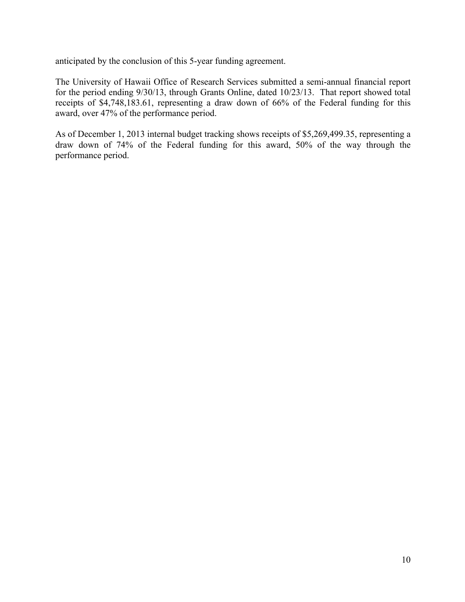anticipated by the conclusion of this 5-year funding agreement.

The University of Hawaii Office of Research Services submitted a semi-annual financial report for the period ending 9/30/13, through Grants Online, dated 10/23/13. That report showed total receipts of \$4,748,183.61, representing a draw down of 66% of the Federal funding for this award, over 47% of the performance period.

As of December 1, 2013 internal budget tracking shows receipts of \$5,269,499.35, representing a draw down of 74% of the Federal funding for this award, 50% of the way through the performance period.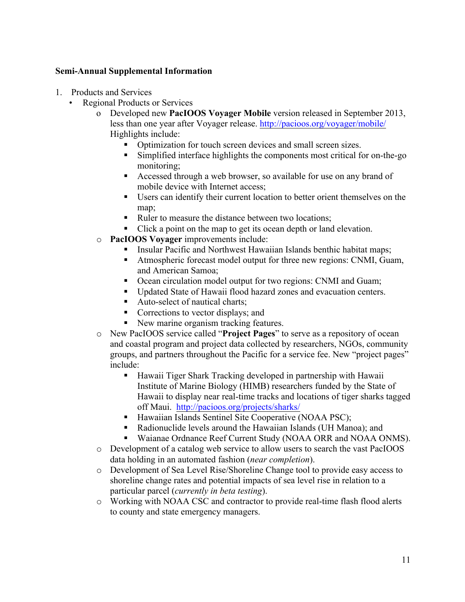#### **Semi-Annual Supplemental Information**

- 1. Products and Services
	- Regional Products or Services
		- o Developed new **PacIOOS Voyager Mobile** version released in September 2013, less than one year after Voyager release. http://pacioos.org/voyager/mobile/ Highlights include:
			- § Optimization for touch screen devices and small screen sizes.
			- § Simplified interface highlights the components most critical for on-the-go monitoring;
			- Accessed through a web browser, so available for use on any brand of mobile device with Internet access;
			- Users can identify their current location to better orient themselves on the map;
			- Ruler to measure the distance between two locations:
			- Click a point on the map to get its ocean depth or land elevation.
		- o **PacIOOS Voyager** improvements include:
			- § Insular Pacific and Northwest Hawaiian Islands benthic habitat maps;
			- Atmospheric forecast model output for three new regions: CNMI, Guam, and American Samoa;
			- Ocean circulation model output for two regions: CNMI and Guam;
			- Updated State of Hawaii flood hazard zones and evacuation centers.
			- Auto-select of nautical charts:
			- Corrections to vector displays; and
			- New marine organism tracking features.
		- o New PacIOOS service called "**Project Pages**" to serve as a repository of ocean and coastal program and project data collected by researchers, NGOs, community groups, and partners throughout the Pacific for a service fee. New "project pages" include:
			- Hawaii Tiger Shark Tracking developed in partnership with Hawaii Institute of Marine Biology (HIMB) researchers funded by the State of Hawaii to display near real-time tracks and locations of tiger sharks tagged off Maui. http://pacioos.org/projects/sharks/
			- Hawaiian Islands Sentinel Site Cooperative (NOAA PSC);
			- Radionuclide levels around the Hawaiian Islands (UH Manoa); and
			- Waianae Ordnance Reef Current Study (NOAA ORR and NOAA ONMS).
		- o Development of a catalog web service to allow users to search the vast PacIOOS data holding in an automated fashion (*near completion*).
		- o Development of Sea Level Rise/Shoreline Change tool to provide easy access to shoreline change rates and potential impacts of sea level rise in relation to a particular parcel (*currently in beta testing*).
		- o Working with NOAA CSC and contractor to provide real-time flash flood alerts to county and state emergency managers.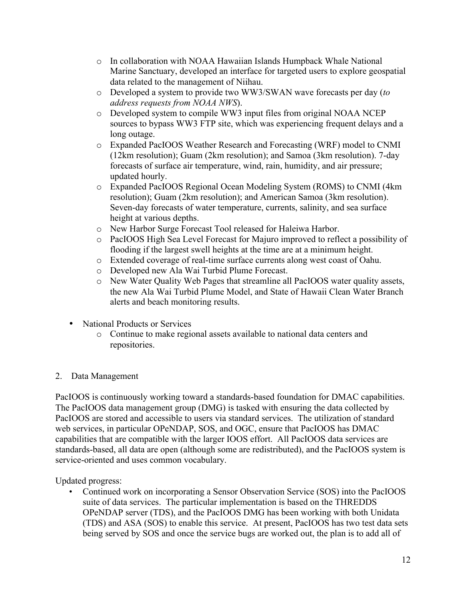- o In collaboration with NOAA Hawaiian Islands Humpback Whale National Marine Sanctuary, developed an interface for targeted users to explore geospatial data related to the management of Niihau.
- o Developed a system to provide two WW3/SWAN wave forecasts per day (*to address requests from NOAA NWS*).
- o Developed system to compile WW3 input files from original NOAA NCEP sources to bypass WW3 FTP site, which was experiencing frequent delays and a long outage.
- o Expanded PacIOOS Weather Research and Forecasting (WRF) model to CNMI (12km resolution); Guam (2km resolution); and Samoa (3km resolution). 7-day forecasts of surface air temperature, wind, rain, humidity, and air pressure; updated hourly.
- o Expanded PacIOOS Regional Ocean Modeling System (ROMS) to CNMI (4km resolution); Guam (2km resolution); and American Samoa (3km resolution). Seven-day forecasts of water temperature, currents, salinity, and sea surface height at various depths.
- o New Harbor Surge Forecast Tool released for Haleiwa Harbor.
- o PacIOOS High Sea Level Forecast for Majuro improved to reflect a possibility of flooding if the largest swell heights at the time are at a minimum height.
- o Extended coverage of real-time surface currents along west coast of Oahu.
- o Developed new Ala Wai Turbid Plume Forecast.
- o New Water Quality Web Pages that streamline all PacIOOS water quality assets, the new Ala Wai Turbid Plume Model, and State of Hawaii Clean Water Branch alerts and beach monitoring results.
- National Products or Services
	- o Continue to make regional assets available to national data centers and repositories.

## 2. Data Management

PacIOOS is continuously working toward a standards-based foundation for DMAC capabilities. The PacIOOS data management group (DMG) is tasked with ensuring the data collected by PacIOOS are stored and accessible to users via standard services. The utilization of standard web services, in particular OPeNDAP, SOS, and OGC, ensure that PacIOOS has DMAC capabilities that are compatible with the larger IOOS effort. All PacIOOS data services are standards-based, all data are open (although some are redistributed), and the PacIOOS system is service-oriented and uses common vocabulary.

Updated progress:

• Continued work on incorporating a Sensor Observation Service (SOS) into the PacIOOS suite of data services. The particular implementation is based on the THREDDS OPeNDAP server (TDS), and the PacIOOS DMG has been working with both Unidata (TDS) and ASA (SOS) to enable this service. At present, PacIOOS has two test data sets being served by SOS and once the service bugs are worked out, the plan is to add all of